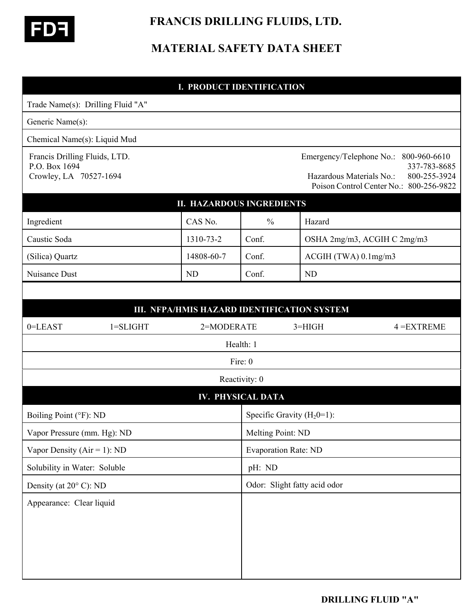

 **FRANCIS DRILLING FLUIDS, LTD.** 

# **MATERIAL SAFETY DATA SHEET**

## **I. PRODUCT IDENTIFICATION**

| Trade Name(s): Drilling Fluid "A"                                        |                                             |                                                                                                                                                 |           |                             |  |
|--------------------------------------------------------------------------|---------------------------------------------|-------------------------------------------------------------------------------------------------------------------------------------------------|-----------|-----------------------------|--|
| Generic Name(s):                                                         |                                             |                                                                                                                                                 |           |                             |  |
| Chemical Name(s): Liquid Mud                                             |                                             |                                                                                                                                                 |           |                             |  |
| Francis Drilling Fluids, LTD.<br>P.O. Box 1694<br>Crowley, LA 70527-1694 |                                             | Emergency/Telephone No.:<br>800-960-6610<br>337-783-8685<br>Hazardous Materials No.:<br>800-255-3924<br>Poison Control Center No.: 800-256-9822 |           |                             |  |
|                                                                          | <b>II. HAZARDOUS INGREDIENTS</b>            |                                                                                                                                                 |           |                             |  |
| Ingredient                                                               | CAS No.                                     | $\frac{0}{0}$                                                                                                                                   | Hazard    |                             |  |
| Caustic Soda                                                             | 1310-73-2                                   | Conf.                                                                                                                                           |           | OSHA 2mg/m3, ACGIH C 2mg/m3 |  |
| (Silica) Quartz                                                          | 14808-60-7                                  | Conf.                                                                                                                                           |           | ACGIH (TWA) 0.1mg/m3        |  |
| Nuisance Dust                                                            | <b>ND</b>                                   | Conf.                                                                                                                                           | <b>ND</b> |                             |  |
|                                                                          |                                             |                                                                                                                                                 |           |                             |  |
|                                                                          | III. NFPA/HMIS HAZARD IDENTIFICATION SYSTEM |                                                                                                                                                 |           |                             |  |
| 0=LEAST<br>$1 = SLIGHT$                                                  | 2=MODERATE                                  |                                                                                                                                                 | $3=HIGH$  | $4 = EXTREME$               |  |
|                                                                          |                                             | Health: 1                                                                                                                                       |           |                             |  |
|                                                                          |                                             | Fire: 0                                                                                                                                         |           |                             |  |
|                                                                          |                                             | Reactivity: 0                                                                                                                                   |           |                             |  |
|                                                                          |                                             | <b>IV. PHYSICAL DATA</b>                                                                                                                        |           |                             |  |
| Boiling Point (°F): ND                                                   |                                             | Specific Gravity $(H_20=1)$ :                                                                                                                   |           |                             |  |
| Vapor Pressure (mm. Hg): ND                                              |                                             | Melting Point: ND                                                                                                                               |           |                             |  |
| Vapor Density ( $Air = 1$ ): ND                                          |                                             | <b>Evaporation Rate: ND</b>                                                                                                                     |           |                             |  |
| Solubility in Water: Soluble                                             |                                             | pH: ND                                                                                                                                          |           |                             |  |
| Density (at $20^{\circ}$ C): ND                                          |                                             | Odor: Slight fatty acid odor                                                                                                                    |           |                             |  |
| Appearance: Clear liquid                                                 |                                             |                                                                                                                                                 |           |                             |  |
|                                                                          |                                             |                                                                                                                                                 |           |                             |  |
|                                                                          |                                             |                                                                                                                                                 |           |                             |  |
|                                                                          |                                             |                                                                                                                                                 |           |                             |  |
|                                                                          |                                             |                                                                                                                                                 |           |                             |  |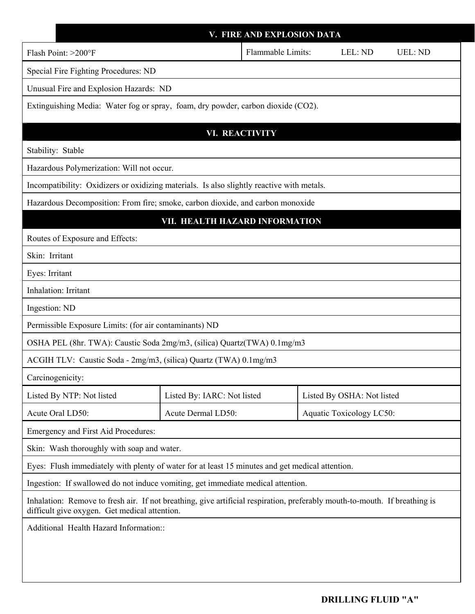|                                                                                                                                                                             |                                                                         | V. FIRE AND EXPLOSION DATA   |                                 |                |  |  |
|-----------------------------------------------------------------------------------------------------------------------------------------------------------------------------|-------------------------------------------------------------------------|------------------------------|---------------------------------|----------------|--|--|
| Flash Point: >200°F                                                                                                                                                         |                                                                         | Flammable Limits:<br>LEL: ND |                                 | <b>UEL: ND</b> |  |  |
| Special Fire Fighting Procedures: ND                                                                                                                                        |                                                                         |                              |                                 |                |  |  |
| Unusual Fire and Explosion Hazards: ND                                                                                                                                      |                                                                         |                              |                                 |                |  |  |
| Extinguishing Media: Water fog or spray, foam, dry powder, carbon dioxide (CO2).                                                                                            |                                                                         |                              |                                 |                |  |  |
|                                                                                                                                                                             |                                                                         |                              |                                 |                |  |  |
| Stability: Stable                                                                                                                                                           |                                                                         | <b>VI. REACTIVITY</b>        |                                 |                |  |  |
| Hazardous Polymerization: Will not occur.                                                                                                                                   |                                                                         |                              |                                 |                |  |  |
| Incompatibility: Oxidizers or oxidizing materials. Is also slightly reactive with metals.                                                                                   |                                                                         |                              |                                 |                |  |  |
| Hazardous Decomposition: From fire; smoke, carbon dioxide, and carbon monoxide                                                                                              |                                                                         |                              |                                 |                |  |  |
| VII. HEALTH HAZARD INFORMATION                                                                                                                                              |                                                                         |                              |                                 |                |  |  |
| Routes of Exposure and Effects:                                                                                                                                             |                                                                         |                              |                                 |                |  |  |
| Skin: Irritant                                                                                                                                                              |                                                                         |                              |                                 |                |  |  |
| Eyes: Irritant                                                                                                                                                              |                                                                         |                              |                                 |                |  |  |
| Inhalation: Irritant                                                                                                                                                        |                                                                         |                              |                                 |                |  |  |
| Ingestion: ND                                                                                                                                                               |                                                                         |                              |                                 |                |  |  |
| Permissible Exposure Limits: (for air contaminants) ND                                                                                                                      |                                                                         |                              |                                 |                |  |  |
|                                                                                                                                                                             | OSHA PEL (8hr. TWA): Caustic Soda 2mg/m3, (silica) Quartz(TWA) 0.1mg/m3 |                              |                                 |                |  |  |
| ACGIH TLV: Caustic Soda - 2mg/m3, (silica) Quartz (TWA) 0.1mg/m3                                                                                                            |                                                                         |                              |                                 |                |  |  |
| Carcinogenicity:                                                                                                                                                            |                                                                         |                              |                                 |                |  |  |
| Listed By NTP: Not listed                                                                                                                                                   | Listed By: IARC: Not listed                                             |                              | Listed By OSHA: Not listed      |                |  |  |
| Acute Oral LD50:                                                                                                                                                            | Acute Dermal LD50:                                                      |                              | <b>Aquatic Toxicology LC50:</b> |                |  |  |
| Emergency and First Aid Procedures:                                                                                                                                         |                                                                         |                              |                                 |                |  |  |
| Skin: Wash thoroughly with soap and water.                                                                                                                                  |                                                                         |                              |                                 |                |  |  |
| Eyes: Flush immediately with plenty of water for at least 15 minutes and get medical attention.                                                                             |                                                                         |                              |                                 |                |  |  |
| Ingestion: If swallowed do not induce vomiting, get immediate medical attention.                                                                                            |                                                                         |                              |                                 |                |  |  |
| Inhalation: Remove to fresh air. If not breathing, give artificial respiration, preferably mouth-to-mouth. If breathing is<br>difficult give oxygen. Get medical attention. |                                                                         |                              |                                 |                |  |  |
| Additional Health Hazard Information::                                                                                                                                      |                                                                         |                              |                                 |                |  |  |
|                                                                                                                                                                             |                                                                         |                              |                                 |                |  |  |
|                                                                                                                                                                             |                                                                         |                              |                                 |                |  |  |